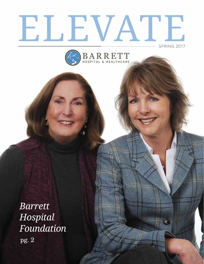# ELEVATE SPRING 2017

BARRETT

*Barrett Hospital Foundation* pg. 2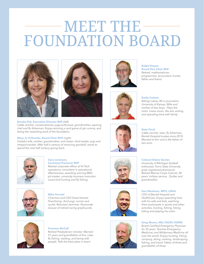## MEET THE FOUNDATION BOARD





#### **Brooke Erb, Executive Director BHF** *(left)*

*Cattle rancher, conservationist, yoga enthusiast, grandmother, aspiring chef and fly fisherman. Enjoys winning a card game of gin rummy, and doing the rewarding work of the foundation.* 

#### **Mary Jo O'Rourke, Board Chair BHF** *(right)*

*Grateful wife, mother, grandmother, and citizen. Avid reader, yogi and intrepid traveler. After half a century of receiving goodwill, wants to spend the next half century giving back.* 



#### **Gary Lorenzen, Secretary/Treasurer BHF**

*Retired corporate officer of Hi Tech operations, consultant in operational effectiveness, awarding winning BBQ pit master, university business instructor. Loves bird hunting and fly fishing.*



**Mike Ferretti**  *Chairman and CEO Great Harvest Franchising. Avid yogi, runner and cyclist. Reluctant swimmer. Passionate rescuer of retired racing greyhounds.* 



#### **Freeman McCall**

*Retired Presbyterian minister. Married 51 years and grandfather of five. Likes fly fishing, reading, and being with people. Tells the best jokes in town!* 





#### **Ralph Dreyer, Board Vice Chair BHF** *Retired, mathematician,*

*programmer, accountant, hunter, father and friend.*

#### **Emily Cottom**

*Billings native. BS in journalism, University of Kansas. Wife and mother of two boys. Plays the violin. Loves music, the arts, writing and spending time with family.*



#### **Nate Finch**

*Cattle rancher, skier, fly fisherman, Barrett Hospital trustee since 2010. Married to Kim and is the father of two sons.*





*University of Michigan football enthusiast. Ferris State University grad, registered pharmacist. Retired Marine Corps Colonel, 30 years' military service. Quilter and grandmother.* 

#### **Ken Westman, MPH, LNHA**

*CEO of Barrett Hospital and HealthCare. Enjoys spending time with his wife and kids, watching them participate in sports and other activities, hunting, fishing, hiking, biking and playing his violin.*

#### **Greg Moore, MD, FACEP, FAWM**

*Board Certified Emergency Physician for 35 years. Teaches Emergency Medicine, and Wilderness Medicine all over the world. Enjoys hunting, hiking, camping, skiing, cooking, landscaping, fishing, and travel. Father of three and grandfather of three.*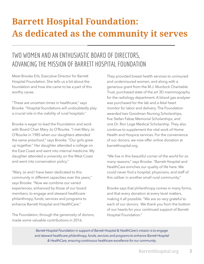## **Barrett Hospital Foundation: As dedicated as the community it serves**

### TWO WOMEN AND AN ENTHUSIASTIC BOARD OF DIRECTORS, ADVANCING THE MISSION OF BARRETT HOSPITAL FOUNDATION

Meet Brooke Erb, Executive Director for Barrett Hospital Foundation. She tells us a bit about the foundation and how she came to be a part of this worthy cause.

"These are uncertain times in healthcare," says Brooke. "Hospital foundations will undoubtedly play a crucial role in the viability of rural hospitals."

Brooke is eager to lead the Foundation and work with Board Chair Mary Jo O'Rourke. "I met Mary Jo O'Rourke in 1985 when our daughters attended the same preschool," says Brooke. "Our girls grew up together." Her daughter attended a college on the East Coast and went into internal medicine. My daughter attended a university on the West Coast and went into conservation policy."

"Mary Jo and I have been dedicated to this community in different capacities over the years," says Brooke. "Now we combine our varied experiences, enhanced by those of our board members, to engage and steward healthcare philanthropy, funds, services and programs to enhance Barrett Hospital and HealthCare."

The Foundation, through the generosity of donors, made some valuable contributions in 2016.

They provided breast health services to uninsured and underinsured women, and along with a generous grant from the M.J. Murdock Charitable Trust, purchased state of the art 3D mammography for the radiology department. A blood gas analyzer was purchased for the lab and a fetal heart monitor for labor and delivery. The Foundation awarded two Goodman Nursing Scholarships, five Stefan Fabaz Memorial Scholarships, and one Dr. Ron Loge Medical Scholarship. They also continue to supplement the vital work of Home Health and Hospice services. For the convenience of our donors, we now offer online donation at barretthospital.org.

"We live in this beautiful corner of the world for so many reasons," says Brooke. "Barrett Hospital and HealthCare enriches our quality of life here. We could never find a hospital, physicians, and staff of this caliber in another small rural community."

Brooke says that philanthropy comes in many forms, and that every donation at every level matters, making it all possible. "We are so very grateful to each of our donors. We thank you from the bottom of our hearts for your continued support of Barrett Hospital Foundation."

*Barrett Hospital Foundation in support of Barrett Hospital & HealthCare's mission is to engage*  and steward healthcare philanthropy, funds, services and programs to enhance Barrett Hospital *& HealthCare, ensuring continuous healthcare excellence for our community.*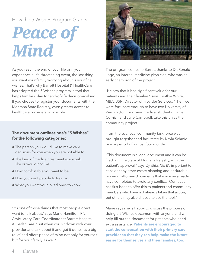### How the 5 Wishes Program Grants

# Peace of *Mind*

As you reach the end of your life or if you experience a life-threatening event, the last thing you want your family worrying about is your final wishes. That's why Barrett Hospital & HealthCare has adopted the 5 Wishes program, a tool that helps families plan for end-of-life decision-making. If you choose to register your documents with the Montana State Registry, even greater access to healthcare providers is possible.

#### **The document outlines one's "5 Wishes" for the following categories:**

- The person you would like to make care decisions for you when you are not able to
- The kind of medical treatment you would like or would not like
- How comfortable you want to be
- How you want people to treat you
- What you want your loved ones to know

"It's one of those things that most people don't want to talk about," says Marie Hamilton, RN, Ambulatory Care Coordinator at Barrett Hospital & HealthCare. "But when you sit down with your provider and talk about it and get it done, it's a big relief and offers peace of mind not only for yourself but for your family as well."



The program comes to Barrett thanks to Dr. Ronald Loge, an internal medicine physician, who was an early champion of the project.

"He saw that it had significant value for our patients and their families," says Cynthia White, MBA, BSN, Director of Provider Services. "Then we were fortunate enough to have two University of Washington third year medical students, Daniel Cornish and Julie Campbell, take this on as their community project."

From there, a local community task force was brought together and facilitated by Kayla Schmid over a period of almost four months.

"This document is a legal document and it can be filed with the State of Montana Registry, with the patient's approval," says Cynthia. "So it's important to consider any other estate planning and or durable power of attorney documents that you may already have completed to avoid any conflicts. Our focus has first been to offer this to patients and community members who have not already taken that action, but others may also choose to use the tool."

Marie says she is happy to discuss the process of doing a 5 Wishes document with anyone and will help fill out the document for patients who need extra assistance. **Patients are encouraged to start the conversation with their primary care provider so that they can help make the future easier for themselves and their families, too.**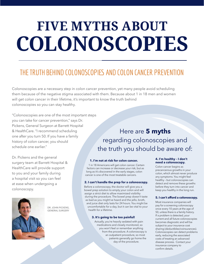# **FIVE MYTHS ABOUT COLONOSCOPIES**

## THE TRUTH BEHIND COLONOSCOPIES AND COLON CANCER PREVENTION

Colonoscopies are a necessary step in colon cancer prevention, yet many people avoid scheduling them because of the negative stigma associated with them. Because about 1 in 18 men and women will get colon cancer in their lifetime, it's important to know the truth behind colonoscopies so you can stay healthy.

"Colonoscopies are one of the most important steps you can take for cancer prevention," says Dr. Pickens, General Surgeon at Barrett Hospital & HealthCare. "I recommend scheduling one after you turn 50. If you have a family history of colon cancer, you should schedule one earlier."

Dr. Pickens and the general surgery team at Barrett Hospital & HealthCare will provide support to you and your family during a hospital visit so you can feel at ease when undergoing a colonoscopy.



DR. JOHN PICKENS, GENERAL SURGERY

### Here are **5 myths** regarding colonoscopies and the truth you should be aware of:

#### **1. I'm not at risk for colon cancer.**

1 in 18 Americans will get colon cancer. Certain factors can increase or decrease your risk, but as long as it's discovered in the early stages, colon cancer is one of the most treatable cancers.

#### **2. I can't handle the prep for a colonoscopy.**

Before a colonoscopy, the doctor will give you a bowel prep solution to empty your colon and will assign a strict diet to allow maximized visibility during the procedure. The bowel prep doesn't taste as bad as you might've heard and the jello, broth, and juice diet only lasts for 24 hours. You might be uncomfortable for a day, but it can be vital to your health for a lifetime.

#### **3. It's going to be too painful!**

Actually, you're heavily sedated with pain medications and closely monitored, so you won't feel or remember anything from the procedure. A colonoscopy is an outpatient procedure, so most patients generally go home the day of the procedure.

#### **4. I'm healthy – I don't need a colonoscopy.**

Colon cancer begins as precancerous growths in your colon, which almost never produce any symptoms. You might feel healthy – but colonoscopies can detect and remove these growths before they turn into cancer and keep you healthy in the long run.

#### **5. I can't afford a colonoscopy.**

Barrett Hospital. Most insurance companies will pay for a screening colonoscopy once every 10 years at the age of 50, unless there is a family history. If a problem is detected, your current and all future colonoscopies becomes diagnostic and will be subject to your insurance cost sharing (deductibles/coinsurances). Colonoscopies can detect problems early, reducing the associated costs of treating an advanced disease process. Contact your insurance company to confirm details.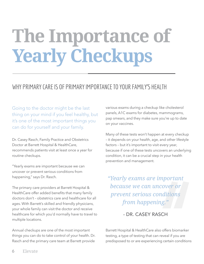# **The Importance of Yearly Checkups**

### WHY PRIMARY CARE IS OF PRIMARY IMPORTANCE TO YOUR FAMILY'S HEALTH

Going to the doctor might be the last thing on your mind if you feel healthy, but it's one of the most important things you can do for yourself and your family.

Dr. Casey Rasch, Family Practice and Obstetrics Doctor at Barrett Hospital & HealthCare, recommends patients visit at least once a year for routine checkups.

"Yearly exams are important because we can uncover or prevent serious conditions from happening," says Dr. Rasch.

The primary care providers at Barrett Hospital & HealthCare offer added benefits that many family doctors don't – obstetrics care and healthcare for all ages. With Barrett's skilled and friendly physicians, your whole family can visit the doctor and receive healthcare for which you'd normally have to travel to multiple locations.

Annual checkups are one of the most important things you can do to take control of your health. Dr. Rasch and the primary care team at Barrett provide

various exams during a checkup like cholesterol panels, A1C exams for diabetes, mammograms, pap smears, and they make sure you're up to date on your vaccines.

Many of these tests won't happen at every checkup – it depends on your health, age, and other lifestyle factors – but it's important to visit every year, because if one of these tests uncovers an underlying condition, it can be a crucial step in your health prevention and management.

*"Yearly exams are important because we can uncover or prevent serious conditions from happening."*

#### - DR. CASEY RASCH

Barrett Hospital & HealthCare also offers biomarker testing, a type of testing that can reveal if you are predisposed to or are experiencing certain conditions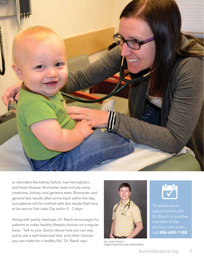

or disorders like kidney failure, low hemoglobin, and heart disease. Biomarker tests include urine, creatinine, kidney, and genetics tests. Biomarker and general test results often arrive back within the day, but patients will be notified with test results that have to be sent to Salt Lake City within 5 – 7 days.

Along with yearly checkups, Dr. Rasch encourages his patients to make healthy lifestyle choices on a regular basis. "Talk to your doctor about how you can stay active, eat a well-balanced diet, and other choices you can make for a healthy life," Dr. Rasch says. DR. CASEY RASCH,



FAMILY PRACTICE AND OBSTETRICS



To schedule an appointment with Dr. Rasch or another call **406-683-1188**.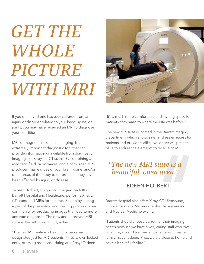# *GET THE WHOLE PICTURE WITH MRI*

If you or a loved one has ever suffered from an injury or disorder related to your head, spine, or joints, you may have received an MRI to diagnose your condition.

MRI, or magnetic resonance imaging, is an extremely important diagnostic tool that can provide information unavailable from diagnostic imaging like X-rays or CT scans. By combining a magnetic field, radio waves, and a computer, MRI produces image slices of your brain, spine, and/or other areas of the body to determine if they have been affected by injury or disease.

Tedeen Holbert, Diagnostic Imaging Tech III at Barrett Hospital and Healthcare, performs X-rays, CT scans, and MRIs for patients. She enjoys being a part of the prevention and healing process in her community by producing images that lead to more accurate diagnoses. The new and improved MRI suite at Barrett doesn't hurt, either.

"The new MRI suite is a beautiful, open area designated just for MRI patients. It has its own locked entry, dressing room, and sitting area," says Tedeen.



"It's a much more comfortable and inviting space for patients compared to where the MRI was before."

The new MRI suite is located in the Barrett Imaging Department, which allows safer and easier access for patients and providers alike. No longer will patients have to endure the elements to receive an MRI.

## *"The new MRI suite is a beautiful, open area."*

### - TEDEEN HOLBERT

Barrett Hospital also offers X-ray, CT, Ultrasound, Echocardiogram, Mammography, Dexa scanning, and Nuclear Medicine exams.

"Patients should choose Barrett for their imaging needs because we have a very caring staff who love what they do and we treat all patients as if they're family," says Tedeen. "Also, we are close to home and have a beautiful facility."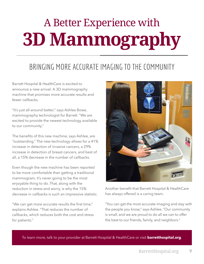# A Better Experience with **3D Mammography**

## BRINGING MORE ACCURATE IMAGING TO THE COMMUNITY

Barrett Hospital & HealthCare is excited to announce a new arrival: A 3D mammography machine that promises more accurate results and fewer callbacks.

"It's just all-around better," says Ashlee Bowe, mammography technologist for Barrett. "We are excited to provide the newest technology available to our community."

The benefits of this new machine, says Ashlee, are "outstanding." The new technology allows for a 41% increase in detection of invasive cancers, a 29% increase in detection of breast cancers, and best of all, a 15% decrease in the number of callbacks.

Even though the new machine has been reported to be more comfortable than getting a traditional mammogram, it's never going to be the most enjoyable thing to do. That, along with the reduction in stress and worry, is why the 15% decrease in callbacks is such an impressive statistic.

"We can get more accurate results the first time," explains Ashlee. "That reduces the number of callbacks, which reduces both the cost and stress for patients."



Another benefit that Barrett Hospital & HealthCare has always offered is a caring team.

"You can get the most accurate imaging and stay with the people you know," says Ashlee. "Our community is small, and we are proud to do all we can to offer the best to our friends, family, and neighbors."

To learn more, talk to your provider at Barrett Hospital & HealthCare or visit **barretthospital.org**.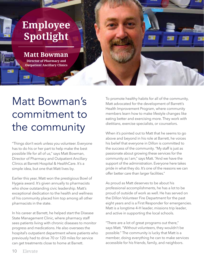## **Employee Spotlight**

## **Matt Bowman**

**Director of Pharmacy and Outpatient Ancillary Clinics**

## Matt Bowman's commitment to the community

"Things don't work unless you volunteer. Everyone has to do his or her part to help make the best possible life for all of us," says Matt Bowman, Director of Pharmacy and Outpatient Ancillary Clinics at Barrett Hospital & HealthCare. It's a simple idea, but one that Matt lives by.

Earlier this year, Matt won the prestigious Bowl of Hygeia award. It's given annually to pharmacists who show outstanding civic leadership. Matt's exceptional dedication to the health and wellness of his community placed him top among all other pharmacists in the state.

In his career at Barrett, he helped start the Disease State Management Clinic, where pharmacy staff sees patients living with chronic diseases to monitor progress and medications. He also oversees the hospital's outpatient department where patients who previously had to drive 70 or 120 miles for service can get treatments close to home at Barrett.

To promote healthy habits for all of the community, Matt advocated for the development of Barrett's Health Improvement Program, where community members learn how to make lifestyle changes like eating better and exercising more. They work with dietitians, exercise specialists, or counselors.

When it's pointed out to Matt that he seems to go above and beyond in his role at Barrett, he voices his belief that everyone in Dillon is committed to the success of the community. "My staff is just as passionate about growing these services for the community as I am," says Matt. "And we have the support of the administration. Everyone here takes pride in what they do. It's one of the reasons we can offer better care than larger facilities."

As proud as Matt deserves to be about his professional accomplishments, he has a lot to be proud of outside of work as well. He has served on the Dillon Volunteer Fire Department for the past eight years and is a First Responder for emergencies. Matt is a longtime 4-H leader, missions trip leader, and active in supporting the local schools.

"There are a lot of great programs out there," says Matt. "Without volunteers, they wouldn't be possible." The community is lucky that Matt is a member, doing everything he can to make services accessible for his friends, family, and neighbors.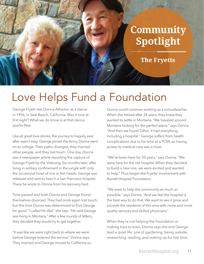## **Community Spotlight**

**The Fryetts** 

## Love Helps Fund a Foundation

George Fryett met Donna Atherton at a dance in 1956, in Seal Beach, California. Was it love at first sight? What we do know is at that dance, sparks flew.

Like all great love stories, the journey to happily ever after wasn't easy. George joined the Army. Donna went on to college. Their paths diverged, they married other people, and they lost touch. One day, Donna saw a newspaper article reporting the capture of George Fryett by the Vietcong. Six months later, after living in solitary confinement in the jungle with only the occasional bowl of rice or fish heads, George was released and sent to heal in a San Francisco hospital. There he wrote to Donna from his recovery bed.

Time passed and both Donna and George found themselves divorced. They had once again lost touch, but this time Donna was determined to find George for good. "I called his dad," she says. "He said George was living in Montana." After a few rounds of letters, they decided they would try to get together.

"It was like we were right back to where we were before George entered the service," Donna says. They married and George moved to California so

Donna could continue working as a schoolteacher. When she retired after 34 years, they knew they wanted to settle in Montana. "We traveled around Montana looking for the perfect place," says Donna. "And then we found Dillon. It had everything, including a hospital." George suffers from health complications due to his time as a POW, so having access to medical care was a must.

"We've been here for 20 years," says Donna. "We were here for the old hospital. When they decided to build a new one, we were excited and wanted to help." Thus began the Fryetts' involvement with Barrett Hospital Foundation.

"We want to help the community as much as possible," says Donna. "And we feel the hospital is the best way to do that. We want to see it grow and provide the residents of this area with more and more quality services and skilled physicians."

When they're not helping the Foundation or making trips to town, Donna says she and George lead a quiet life: one of gardening, being outside, researching, reading, and making up for lost time.